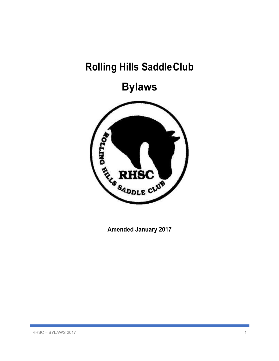# **Rolling Hills SaddleClub**

**Bylaws**



**Amended January 2017**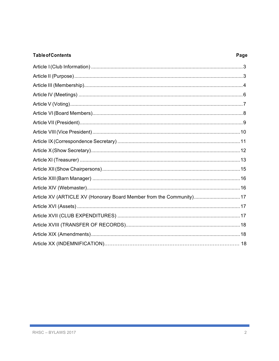#### **Table of Contents**

#### Page

| Article XV (ARTICLE XV (Honorary Board Member from the Community)17 |  |
|---------------------------------------------------------------------|--|
|                                                                     |  |
|                                                                     |  |
|                                                                     |  |
|                                                                     |  |
|                                                                     |  |
|                                                                     |  |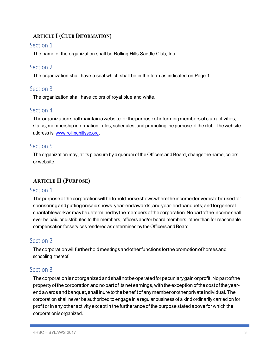## **ARTICLE I (CLUB INFORMATION)**

#### Section 1

The name of the organization shall be Rolling Hills Saddle Club, Inc.

# Section 2

The organization shall have a seal which shall be in the form as indicated on Page 1.

## Section 3

The organization shall have colors of royal blue and white.

## Section 4

Theorganizationshallmaintainawebsiteforthepurposeofinformingmembersofclubactivities, status, membership information, rules, schedules; and promoting the purpose of the club. The website address is www.rollinghillssc.org.

## Section<sub>5</sub>

The organization may, at its pleasure by a quorum of the Officers and Board, change the name, colors, or website.

## **ARTICLE II (PURPOSE)**

#### Section 1

Thepurposeofthecorporationwillbetoholdhorseshowswheretheincomederivedistobeusedfor sponsoringandputtingonsaidshows,year-endawards,andyear-endbanquets;andforgeneral charitableworkasmaybedeterminedbythemembersofthecorporation.Nopartoftheincomeshall ever be paid or distributed to the members, officers and/or board members, other than for reasonable compensation for services rendered as determined by the Officers and Board.

# Section 2

Thecorporationwillfurtherholdmeetingsandotherfunctionsforthepromotionofhorsesand schooling thereof.

## Section 3

Thecorporationisnotorganizedandshallnotbeoperatedforpecuniarygainorprofit.Nopartofthe property of the corporation and no part of its net earnings, with the exception of the cost of the yearendawards andbanquet, shall inureto the benefitofany member orother private individual. The corporation shall never be authorized to engage in a regular business of a kind ordinarily carried on for profit orin any other activity except in the furtherance of the purpose stated above for which the corporationisorganized.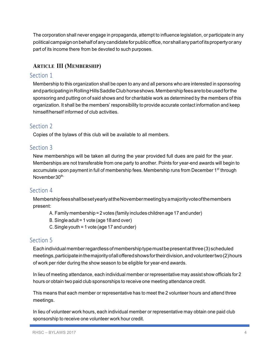The corporation shall never engage in propaganda, attempt to influence legislation, or participate in any political campaign on behalf of any candidate for public office, nor shall any part of its property or any part of its income there from be devoted to such purposes.

# **ARTICLE III (MEMBERSHIP)**

## Section 1

Membership to this organization shall be open to any and all persons who are interested in sponsoring and participating in Rolling Hills Saddle Club horse shows. Membership fees are to be used for the sponsoring and putting on of said shows and for charitable work as determined by the members of this organization. It shall be the members' responsibility to provide accurate contact information and keep himself/herself informed of club activities.

# Section 2

Copies of the bylaws of this club will be available to all members.

# Section 3

New memberships will be taken all during the year provided full dues are paid for the year. Memberships are not transferable from one party to another. Points for year-end awards will begin to accumulate upon payment in full of membership fees. Membership runs from December 1<sup>st</sup> through November 30<sup>th.</sup>

## Section 4

MembershipfeesshallbesetyearlyattheNovembermeetingbyamajorityvoteofthemembers present:

- A. Family membership = 2 votes (family includes children age 17 and under)
- B. Single adult = 1 vote (age 18 and over)
- C.Single youth = 1 vote (age 17 and under)

# Section 5

Eachindividualmemberregardlessofmembershiptypemustbepresentatthree(3) scheduled meetings,participateinthemajorityofallofferedshowsfortheirdivision,andvolunteertwo(2)hours of work per rider during the show season to be eligible for year-end awards.

In lieu of meeting attendance, each individual member or representative may assist show officials for 2 hours or obtain two paid club sponsorships to receive one meeting attendance credit.

This means that each member or representative has to meet the 2 volunteer hours and attend three meetings.

In lieu of volunteer work hours, each individual member or representative may obtain one paid club sponsorship to receive one volunteer work hour credit.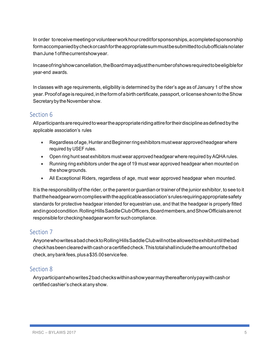In order toreceivemeetingorvolunteerworkhourcreditforsponsorships,acompletedsponsorship formaccompaniedbycheckorcashfortheappropriatesummustbesubmittedtoclubofficialsnolater thanJune1ofthecurrentshowyear.

Incaseofring/showcancellation,theBoardmayadjustthenumberofshowsrequiredtobeeligiblefor year-end awards.

In classes with age requirements, eligibility is determined by the rider's age as of January 1 of the show year. Proof of age is required, in the form of a birth certificate, passport, or license shown to the Show Secretary by the November show.

# Section 6

Allparticipantsarerequiredtoweartheappropriateridingattirefortheirdisciplineasdefinedbythe applicable association's rules

- Regardless of age, Hunter and Beginner ring exhibitors must wear approved headgear where required by USEF rules.
- Open ring hunt seat exhibitors must wear approved headgear where required by AQHA rules.
- Running ring exhibitors under the age of 19 must wear approved headgear when mounted on the show grounds.
- All Exceptional Riders, regardless of age, must wear approved headgear when mounted.

It is the responsibility of the rider, orthe parent or guardian ortrainer of the junior exhibitor, to see to it thattheheadgearworncomplieswiththeapplicableassociation'srulesrequiringappropriatesafety standards for protective headgear intended for equestrian use, and that the headgear is properly fitted andingoodcondition.RollingHillsSaddleClubOfficers,Boardmembers,andShowOfficialsarenot responsible for checking headgear worn for such compliance.

## Section 7

AnyonewhowritesabadchecktoRollingHillsSaddleClubwillnotbeallowedtoexhibituntilthebad checkhasbeenclearedwithcashoracertifiedcheck.Thistotalshallincludetheamountofthebad check,anybankfees,plusa\$35.00servicefee.

# Section 8

Anyparticipantwhowrites2badcheckswithinashowyearmaythereafteronlypaywithcashor certified cashier's check at any show.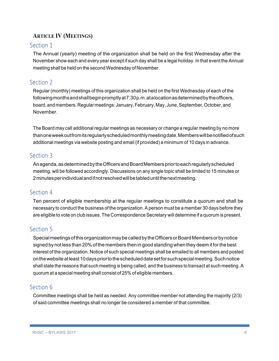# **ARTICLE IV (MEETINGS)**

#### Section 1

The Annual (yearly) meeting of the organization shall be held on the first Wednesday after the November show each and every year except if such day shall be a legal holiday. In that event the Annual meeting shall be held on the second Wednesday of November.

# Section 2

Regular (monthly) meetings of this organization shall be held on the first Wednesday of each of the followingmonthsandshallbeginpromptlyat7:30p.m.atalocationasdeterminedbytheofficers, board, and members. Regular meetings: January, February, May, June, September, October, and November.

The Board may call additional regular meetings as necessary or change a regular meeting by no more thanoneweekoutfromitsregularlyscheduledmonthlymeetingdate.Memberswillbenotifiedofsuch additional meetings via website posting and email (if provided) a minimum of 10 days in advance.

## Section 3

Anagenda,asdeterminedbytheOfficersandBoardMemberspriortoeachregularlyscheduled meeting, will be followed accordingly. Discussions on any single topic shall be limited to 15 minutes or 2minutesperindividualandifnotresolvedwillbetableduntilthenextmeeting.

## Section 4

Ten percent of eligible membership at the regular meetings to constitute a quorum and shall be necessary to conduct the business of the organization. A person must be a member 30 days before they are eligible to vote on club issues. The Correspondence Secretary will determine if a quorum is present.

# Section 5

Special meetings of this organization may be called by the Officers or Board Members or by notice signed by not less than 20% of the members then in good standing when they deem it forthe best interest of the organization. Notice of such special meetings shall be emailed to all members and posted on the website at least 10 days prior to the scheduled date set for such special meeting. Such notice shall state the reasons that such meeting is being called, and the business to transact at such meeting. A quorum at a special meeting shall consist of 25% of eligible members.

# Section 6

Committee meetings shall be held as needed. Any committee member not attending the majority (2/3) of said committee meetings shall no longer be considered a member of that committee.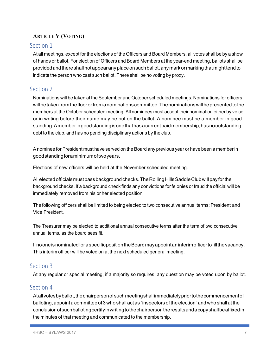# **ARTICLE V (VOTING)**

## Section 1

At all meetings, except for the elections of the Officers and Board Members, all votes shall be by a show of hands or ballot. For election of Officers and Board Members at the year-end meeting, ballots shall be providedandthereshallnotappearanyplaceonsuchballot,anymarkormarkingthatmighttendto indicate the person who cast such ballot. There shall be no voting by proxy.

# Section 2

Nominations will be taken at the September and October scheduled meetings. Nominations for officers willbetakenfromthefloororfromanominationscommittee.Thenominationswillbepresentedtothe members at the October scheduled meeting. All nominees must accept their nomination either by voice or in writing before their name may be put on the ballot. A nominee must be a member in good standing.Amemberingoodstandingisonethathasacurrentpaidmembership,hasnooutstanding debt to the club, and has no pending disciplinary actions by the club.

A nominee for President must have served on the Board any previous year or have been a member in goodstandingforaminimumoftwoyears.

Elections of new officers will be held at the November scheduled meeting.

Allelectedofficialsmustpassbackgroundchecks.TheRollingHillsSaddleClubwillpayforthe background checks. If a background check finds any convictions for felonies or fraud the official will be immediately removed from his or her elected position.

The following officers shall be limited to being elected to two consecutive annual terms: President and Vice President.

The Treasurer may be elected to additional annual consecutive terms after the term of two consecutive annual terms, as the board sees fit.

IfnooneisnominatedforaspecificpositiontheBoardmayappointaninterimofficertofillthevacancy. This interim officer will be voted on at the next scheduled general meeting.

## Section 3

At any regular or special meeting, if a majority so requires, any question may be voted upon by ballot.

## Section 4

Atall votes by ballot, the chairperson of such meeting shall immediately prior to the commencement of balloting, appointa committee of 3 who shall act as "inspectors of the election" and who shall at the conclusionofsuchballotingcertifyinwritingtothechairpersontheresultsandacopyshallbeaffixedin the minutes of that meeting and communicated to the membership.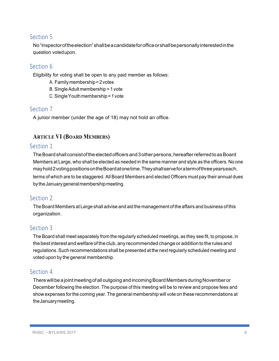No"inspectoroftheelection"shallbeacandidateforofficeorshallbepersonallyinterestedinthe question votedupon.

## Section 6

Eligibility for voting shall be open to any paid member as follows:

- A. Familymembership=2votes
- B. Single Adult membership = 1 vote
- C.SingleYouth membership=1 vote

## Section 7

A junior member (under the age of 18) may not hold an office.

## **ARTICLE VI (BOARD MEMBERS)**

#### Section 1

The Board shall consist of the elected officers and 3 other persons, hereafter referred to as Board Members at Large, who shall be elected as needed in the same manner and style as the officers. No one mayhold2votingpositionsontheBoardatonetime.Theyshallserveforatermofthreeyearseach, terms of which are to be staggered. All Board Members and elected Officers must pay their annual dues by the January general membership meeting.

#### Section 2

The Board Members at Large shall advise and aid the management of the affairs and business of this organization.

## Section 3

The Board shall meet separately from the regularly scheduled meetings, as they see fit, to propose, in the best interest and welfare of the club, any recommended change or addition to the rules and regulations.Such recommendations shall be presented at the nextregularly scheduled meeting and voted upon by the general membership.

## Section 4

There will be a joint meeting of all outgoing and incoming Board Members during November or December following the election. The purpose of this meeting will be to review and propose fees and show expenses forthe coming year. The general membership will vote on these recommendations at theJanuarymeeting.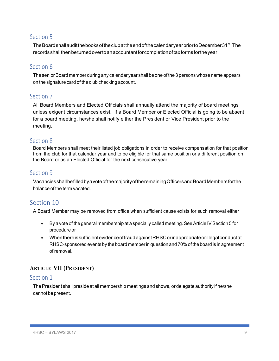The Board shall audit the books of the clubat the end of the calendaryear prior to December 31st. The recordsshallthenbeturnedovertoanaccountantforcompletionoftaxformsfortheyear.

## Section 6

The senior Board member during any calendar year shall be one of the 3 persons whose name appears on the signature card of the club checking account.

## Section 7

All Board Members and Elected Officials shall annually attend the majority of board meetings unless exigent circumstances exist. If a Board Member or Elected Official is going to be absent for a board meeting, he/she shall notify either the President or Vice President prior to the meeting.

## Section 8

Board Members shall meet their listed job obligations in order to receive compensation for that position from the club for that calendar year and to be eligible for that same position or a different position on the Board or as an Elected Official for the next consecutive year.

## Section 9

VacanciesshallbefilledbyavoteofthemajorityoftheremainingOfficersandBoardMembersforthe balance of the term vacated.

# Section 10

A Board Member may be removed from office when sufficient cause exists for such removal either

- By a vote of the general membership at a specially called meeting. See Article IV Section 5 for procedure or
- WhenthereissufficientevidenceoffraudagainstRHSCorinappropriateorillegalconductat RHSC-sponsored events by the board memberin question and 70% of the board is in agreement of removal.

# **ARTICLE VII (PRESIDENT)**

#### Section 1

The President shall preside at all membership meetings and shows, or delegate authority if he/she cannot be present.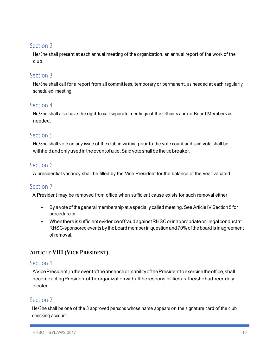He/She shall present at each annual meeting of the organization, an annual report of the work of the club.

# Section 3

He/She shall call for <sup>a</sup> report from all committees, temporary or permanent, as needed at each regularly scheduled meeting.

## Section 4

He/She shall also have the right to call separate meetings of the Officers and/or Board Members as needed.

## Section 5

He/She shall vote on any issue of the club in writing prior to the vote count and said vote shall be withheldandonlyusedintheeventofatie.Saidvoteshallbethetiebreaker.

# Section 6

A presidential vacancy shall be filled by the Vice President for the balance of the year vacated.

## Section 7

A President may be removed from office when sufficient cause exists for such removal either

- By a vote of the general membership at a specially called meeting. See Article IV Section 5 for procedure or
- WhenthereissufficientevidenceoffraudagainstRHSCorinappropriateorillegalconductat RHSC-sponsored events by the board memberin question and 70% of the board is in agreement of removal.

# **ARTICLE VIII (VICE PRESIDENT)**

#### Section 1

AVicePresident,intheeventoftheabsenceorinabilityofthePresidenttoexercisetheoffice,shall becomeactingPresidentoftheorganizationwithalltheresponsibilitiesasifhe/shehadbeenduly elected.

## Section 2

He/She shall be one of the <sup>3</sup> approved persons whose name appears on the signature card of the club checking account.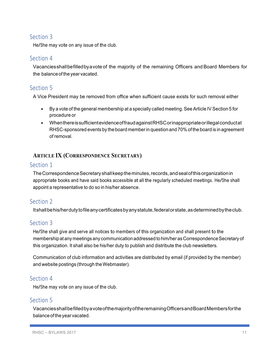He/She may vote on any issue of the club.

## Section 4

Vacanciesshallbefilledbyavote of the majority of the remaining Officers and Board Members for the balance of the year vacated.

# Section<sub>5</sub>

A Vice President may be removed from office when sufficient cause exists for such removal either

- By a vote of the general membership at a specially called meeting. See Article IV Section 5 for procedure or
- WhenthereissufficientevidenceoffraudagainstRHSCorinappropriateorillegalconductat RHSC-sponsored events by the board memberin question and 70% of the board is in agreement of removal.

## **ARTICLE IX (CORRESPONDENCE SECRETARY)**

## Section 1

The Correspondence Secretary shall keep the minutes, records, and seal of this organization in appropriate books and have said books accessible at all the regularly scheduled meetings. He/She shall appoint a representative to do so in his/her absence.

# Section 2

Itshallbehis/herdutytofileanycertificatesbyanystatute,federalorstate,asdeterminedbytheclub.

# Section 3

He/She shall give and serve all notices to members of this organization and shall present to the membership at any meetings any communication addressed to him/her as Correspondence Secretary of this organization. It shall also be his/her duty to publish and distribute the club newsletters.

Communication of club information and activities are distributed by email (if provided by the member) and website postings (through theWebmaster).

## Section 4

He/She may vote on any issue of the club.

## Section<sub>5</sub>

VacanciesshallbefilledbyavoteofthemajorityoftheremainingOfficersandBoardMembersforthe balanceof the year vacated.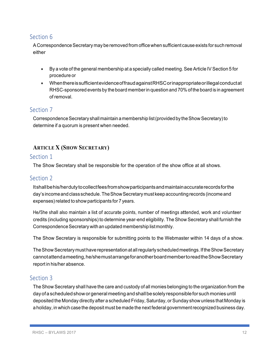A Correspondence Secretary may be removed from office when sufficient cause exists for such removal either

- By a vote of the general membership at a specially called meeting. See Article IV Section 5 for procedure or
- WhenthereissufficientevidenceoffraudagainstRHSCorinappropriateorillegalconductat RHSC-sponsored events by the board memberin question and 70% of the board is in agreement of removal.

## Section<sub>7</sub>

Correspondence Secretary shall maintain a membership list (provided by the Show Secretary) to determine if a quorum is present when needed.

## **ARTICLE X (SHOW SECRETARY)**

#### Section 1

The Show Secretary shall be responsible for the operation of the show office at all shows.

## Section 2

Itshallbehis/herdutytocollectfeesfromshowparticipantsandmaintainaccuraterecordsforthe day's income and class schedule. The Show Secretary must keep accounting records (income and expenses)related to show participants for 7 years.

He/She shall also maintain <sup>a</sup> list of accurate points, number of meetings attended, work and volunteer credits (including sponsorships) to determine year-end eligibility. The Show Secretary shall furnish the Correspondence Secretary with an updated membership list monthly.

The Show Secretary is responsible for submitting points to the Webmaster within 14 days of a show.

The Show Secretary must have representation at all regularly scheduled meetings. If the Show Secretary cannotattendameeting,he/shemustarrangeforanotherboardmembertoreadtheShowSecretary report in his/her absence.

## Section 3

The Show Secretary shall have the care and custody of all monies belonging to the organization from the day of a scheduled show or general meeting and shall be solely responsible for such monies until deposited the Monday directly after a scheduled Friday, Saturday, or Sunday show unless that Monday is a holiday, in which case the deposit must be made the next federal governmentrecognized business day.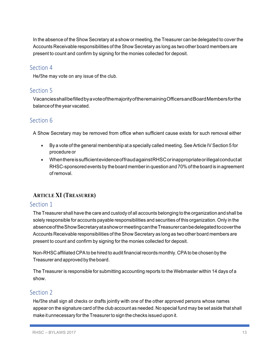In the absence of the Show Secretary at a show or meeting, the Treasurer can be delegated to cover the Accounts Receivable responsibilities of the Show Secretary as long as two other board members are present to count and confirm by signing for the monies collected for deposit.

#### Section 4

He/She may vote on any issue of the club.

## Section<sub>5</sub>

VacanciesshallbefilledbyavoteofthemajorityoftheremainingOfficersandBoardMembersforthe balanceof the year vacated.

# Section 6

A Show Secretary may be removed from office when sufficient cause exists for such removal either

- By a vote of the general membership at a specially called meeting. See Article IV Section 5 for procedure or
- WhenthereissufficientevidenceoffraudagainstRHSCorinappropriateorillegalconductat RHSC-sponsored events by the board memberin question and 70% of the board is in agreement of removal.

# **ARTICLE XI (TREASURER)**

#### Section 1

The Treasurer shall have the care and custody of all accounts belonging to the organization and shall be solely responsible for accounts payable responsibilities and securities of this organization. Only in the absenceoftheShowSecretaryatashowormeetingcantheTreasurercanbedelegatedtocoverthe Accounts Receivable responsibilities of the Show Secretary as long as two other board members are present to count and confirm by signing for the monies collected for deposit.

Non-RHSC affiliated CPA to be hired to audit financial records monthly. CPA to be chosen by the Treasurer and approved by the board.

The Treasurer is responsible for submitting accounting reports to the Webmaster within 14 days of a show.

# Section 2

He/She shall sign all checks or drafts jointly with one of the other approved persons whose names appear on the signature card of the club account as needed. No special fund may be set aside that shall make it unnecessary for the Treasurer to sign the checks issued upon it.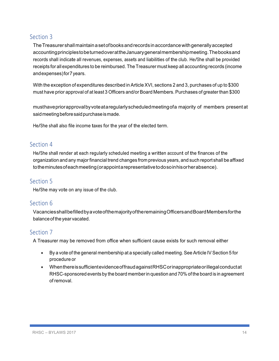TheTreasurer shallmaintainasetofbooks andrecords inaccordancewithgenerallyaccepted accountingprinciplestobeturnedoverattheJanuarygeneralmembershipmeeting.Thebooksand records shall indicate all revenues, expenses, assets and liabilities of the club. He/She shall be provided receipts for all expenditures to be reimbursed. The Treasurer must keep all accounting records (income andexpenses)for7years.

With the exception of expenditures described in Article XVI, sections 2 and 3, purchases of up to \$300 must have prior approval of at least 3 Officers and/or Board Members. Purchases of greater than \$300

musthavepriorapprovalbyvoteataregularlyscheduledmeetingofa majority of members present at said meeting before said purchase is made.

He/She shall also file income taxes for the year of the elected term.

## Section 4

He/She shall render at each regularly scheduled meeting <sup>a</sup> written account of the finances of the organization and any major financial trend changes from previous years, and such report shall be affixed totheminutesofeachmeeting(orappointarepresentativetodosoinhisorherabsence).

#### Section<sub>5</sub>

He/She may vote on any issue of the club.

## Section 6

VacanciesshallbefilledbyavoteofthemajorityoftheremainingOfficersandBoardMembersforthe balanceof the year vacated.

## Section<sub>7</sub>

A Treasurer may be removed from office when sufficient cause exists for such removal either

- By a vote of the general membership at a specially called meeting. See Article IV Section 5 for procedure or
- WhenthereissufficientevidenceoffraudagainstRHSCorinappropriateorillegalconductat RHSC-sponsored events by the board memberin question and 70% of the board is in agreement of removal.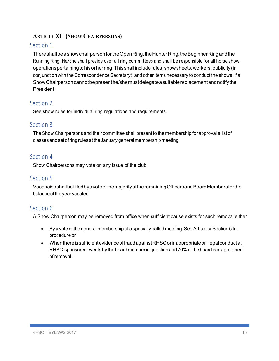## **ARTICLE XII (SHOW CHAIRPERSONS)**

## Section 1

ThereshallbeashowchairpersonfortheOpenRing,theHunterRing,theBeginnerRingandthe Running Ring. He/She shall preside over all ring committees and shall be responsible for all horse show operationspertainingtohisorherring.Thisshall includerules,showsheets,workers,publicity(in conjunction with the Correspondence Secretary), and other items necessary to conduct the shows. If a ShowChairpersoncannotbepresenthe/shemustdelegateasuitablereplacementandnotifythe President.

# Section 2

See show rules for individual ring regulations and requirements.

# Section 3

The Show Chairpersons and their committee shall present to the membership for approval a list of classes and set of ring rules at the January general membership meeting.

## Section 4

Show Chairpersons may vote on any issue of the club.

# Section 5

VacanciesshallbefilledbyavoteofthemajorityoftheremainingOfficersandBoardMembersforthe balanceof the year vacated.

# Section 6

A Show Chairperson may be removed from office when sufficient cause exists for such removal either

- By a vote of the general membership at a specially called meeting. See Article IV Section 5 for procedure or
- WhenthereissufficientevidenceoffraudagainstRHSCorinappropriateorillegalconductat RHSC-sponsored events by the board memberin question and 70% of the board is in agreement of removal .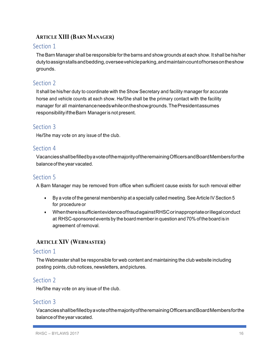# **ARTICLE XIII (BARN MANAGER)**

## Section 1

The Barn Manager shall be responsible for the barns and show grounds at each show. It shall be his/her dutytoassignstallsandbedding,overseevehicleparking,andmaintaincountofhorsesontheshow grounds.

# Section 2

It shall be his/her duty to coordinate with the Show Secretary and facility manager for accurate horse and vehicle counts at each show. He/She shall be the primary contact with the facility manager for all maintenanceneedswhileontheshowgrounds.ThePresidentassumes responsibilityiftheBarn Manageris not present.

# Section 3

He/She may vote on any issue of the club.

## Section 4

VacanciesshallbefilledbyavoteofthemajorityoftheremainingOfficersandBoardMembersforthe balance of the year vacated.

# Section<sub>5</sub>

A Barn Manager may be removed from office when sufficient cause exists for such removal either

- By a vote of the general membership at a specially called meeting. See Article IV Section 5 for procedure or
- WhenthereissufficientevidenceoffraudagainstRHSCorinappropriateorillegalconduct at RHSC-sponsored events by the board memberin question and 70% of the board is in agreement of removal.

# **ARTICLE XIV (WEBMASTER)**

#### Section 1

The Webmaster shall be responsible for web content and maintaining the club website including posting points, club notices, newsletters, and pictures.

# Section 2

He/She may vote on any issue of the club.

## Section 3

VacanciesshallbefilledbyavoteofthemajorityoftheremainingOfficersandBoardMembersforthe balance of the year vacated.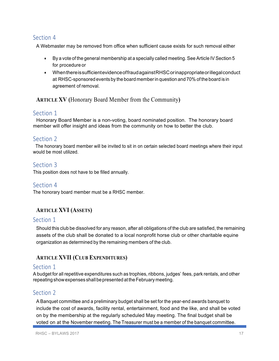A Webmaster may be removed from office when sufficient cause exists for such removal either

- By a vote of the general membership at a specially called meeting. See Article IV Section 5 for procedure or
- WhenthereissufficientevidenceoffraudagainstRHSCorinappropriateorillegalconduct at RHSC-sponsored events by the board memberin question and 70% of the board is in agreement of removal.

**ARTICLE XV (**Honorary Board Member from the Community**)**

## Section 1

 Honorary Board Member is a non-voting, board nominated position. The honorary board member will offer insight and ideas from the community on how to better the club.

## Section 2

 The honorary board member will be invited to sit in on certain selected board meetings where their input would be most utilized.

## Section 3

This position does not have to be filled annually.

#### Section 4

The honorary board member must be a RHSC member.

# **ARTICLE XVI (ASSETS)**

#### Section 1

Should this club be dissolved for any reason, after all obligations of the club are satisfied, the remaining assets of the club shall be donated to a local nonprofit horse club or other charitable equine organization as determined by the remaining members of the club.

## **ARTICLE XVII (CLUB EXPENDITURES)**

#### Section 1

A budget for all repetitive expenditures such as trophies, ribbons, judges' fees, park rentals, and other repeating show expenses shall be presented at the February meeting.

## Section 2

A Banquet committee and a preliminary budget shall be set for the year-end awards banquet to include the cost of awards, facility rental, entertainment, food and the like, and shall be voted on by the membership at the regularly scheduled May meeting. The final budget shall be voted on at the November meeting. The Treasurer must be a member of the banquet committee.